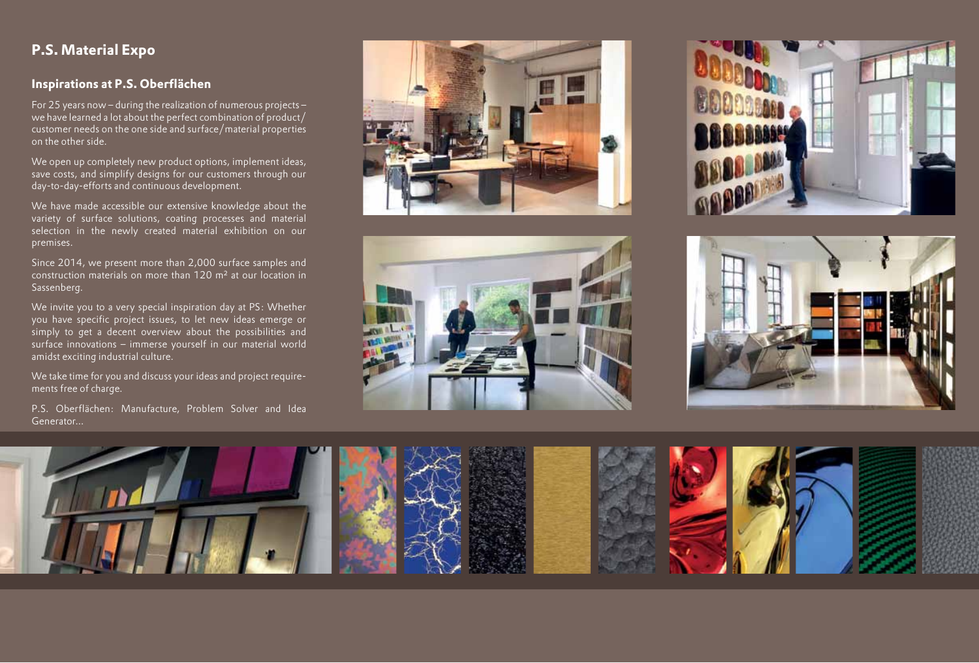# **P.S. Material Expo**

## **Inspirations at P.S. Oberflächen**

For 25 years now – during the realization of numerous projects – we have learned a lot about the perfect combination of product/ customer needs on the one side and surface/material properties on the other side.

We open up completely new product options, implement ideas, save costs, and simplify designs for our customers through our day-to-day-efforts and continuous development.

We have made accessible our extensive knowledge about the variety of surface solutions, coating processes and material selection in the newly created material exhibition on our premises.

Since 2014, we present more than 2,000 surface samples and construction materials on more than 120 m² at our location in Sassenberg.

We invite you to a very special inspiration day at PS: Whether you have specific project issues, to let new ideas emerge or simply to get a decent overview about the possibilities and surface innovations – immerse yourself in our material world amidst exciting industrial culture.

We take time for you and discuss your ideas and project requirements free of charge.

P.S. Oberflächen: Manufacture, Problem Solver and Idea Generator...